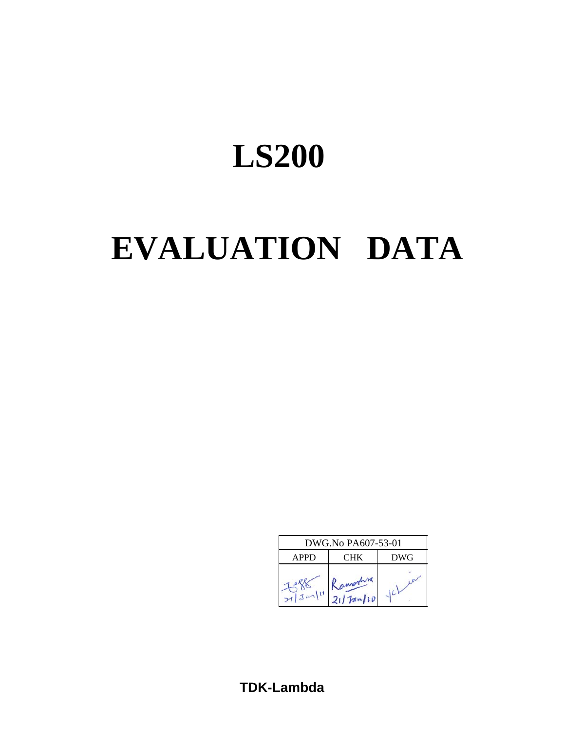# **EVALUATION DATA**



**TDK-Lambda**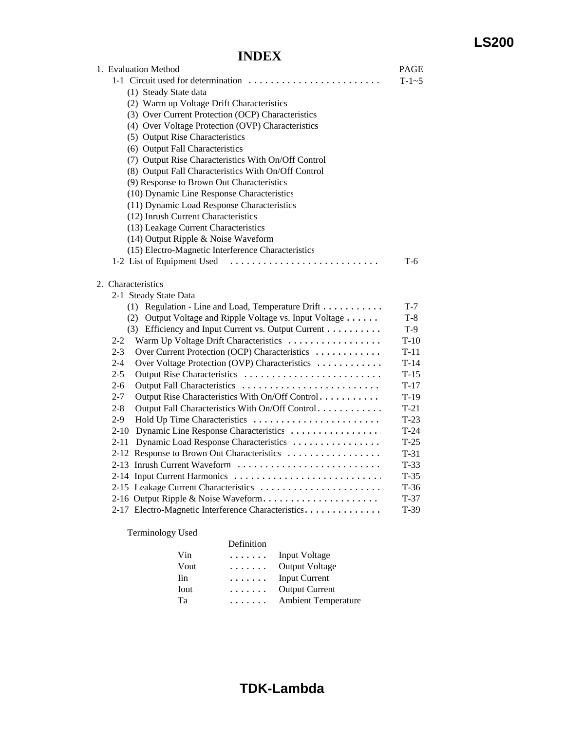### **INDEX**

| 1. Evaluation Method                                        | <b>PAGE</b> |
|-------------------------------------------------------------|-------------|
|                                                             | $T-1-5$     |
| (1) Steady State data                                       |             |
| (2) Warm up Voltage Drift Characteristics                   |             |
| (3) Over Current Protection (OCP) Characteristics           |             |
| (4) Over Voltage Protection (OVP) Characteristics           |             |
| (5) Output Rise Characteristics                             |             |
| (6) Output Fall Characteristics                             |             |
| (7) Output Rise Characteristics With On/Off Control         |             |
| (8) Output Fall Characteristics With On/Off Control         |             |
| (9) Response to Brown Out Characteristics                   |             |
| (10) Dynamic Line Response Characteristics                  |             |
| (11) Dynamic Load Response Characteristics                  |             |
| (12) Inrush Current Characteristics                         |             |
| (13) Leakage Current Characteristics                        |             |
| (14) Output Ripple & Noise Waveform                         |             |
| (15) Electro-Magnetic Interference Characteristics          |             |
| 1-2 List of Equipment Used                                  | $T-6$       |
|                                                             |             |
| 2. Characteristics                                          |             |
| 2-1 Steady State Data                                       |             |
| (1) Regulation - Line and Load, Temperature Drift           | $T-7$       |
| (2) Output Voltage and Ripple Voltage vs. Input Voltage     | $T-8$       |
| (3) Efficiency and Input Current vs. Output Current         | $T-9$       |
| Warm Up Voltage Drift Characteristics<br>2-2                | $T-10$      |
| Over Current Protection (OCP) Characteristics<br>$2 - 3$    | $T-11$      |
| Over Voltage Protection (OVP) Characteristics<br>$2 - 4$    | $T-14$      |
| Output Rise Characteristics<br>$2 - 5$                      | $T-15$      |
| $2 - 6$<br>Output Fall Characteristics                      | $T-17$      |
| $2 - 7$<br>Output Rise Characteristics With On/Off Control  | $T-19$      |
| Output Fall Characteristics With On/Off Control.<br>$2 - 8$ | $T-21$      |
| $2-9$<br>Hold Up Time Characteristics                       | $T-23$      |
| Dynamic Line Response Characteristics<br>$2 - 10$           | $T-24$      |
| $2 - 11$<br>Dynamic Load Response Characteristics           | $T-25$      |
| 2-12 Response to Brown Out Characteristics                  | $T-31$      |
| 2-13 Inrush Current Waveform                                | $T-33$      |
|                                                             | $T-35$      |
| 2-15 Leakage Current Characteristics                        | $T-36$      |
| 2-16 Output Ripple & Noise Waveform                         | $T-37$      |
| 2-17 Electro-Magnetic Interference Characteristics.         | $T-39$      |
|                                                             |             |

Terminology Used

Definition

| Vin  | . | Input Voltage              |
|------|---|----------------------------|
| Vout | . | <b>Output Voltage</b>      |
| Iin  | . | Input Current              |
| Iout | . | <b>Output Current</b>      |
| Тa   | . | <b>Ambient Temperature</b> |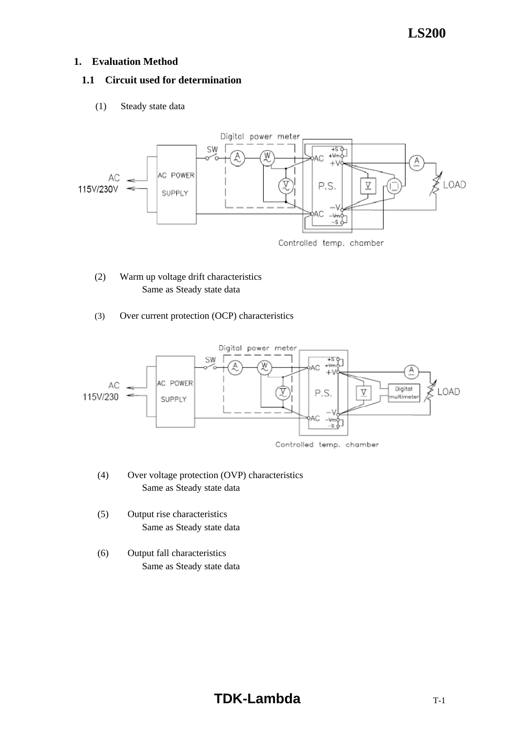### **1. Evaluation Method**

### **1.1 Circuit used for determination**

(1) Steady state data



- (2) Warm up voltage drift characteristics Same as Steady state data
- (3) Over current protection (OCP) characteristics



- (4) Over voltage protection (OVP) characteristics Same as Steady state data
- (5) Output rise characteristics Same as Steady state data
- (6) Output fall characteristics Same as Steady state data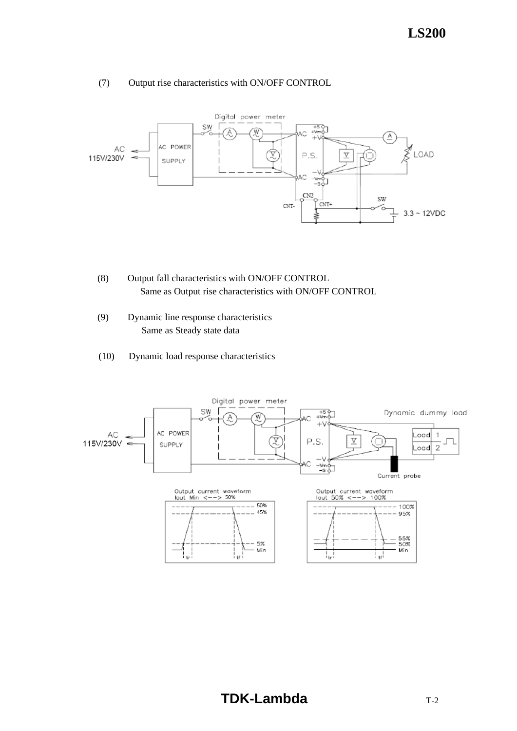### (7) Output rise characteristics with ON/OFF CONTROL



- (8) Output fall characteristics with ON/OFF CONTROL Same as Output rise characteristics with ON/OFF CONTROL
- (9) Dynamic line response characteristics Same as Steady state data
- (10) Dynamic load response characteristics

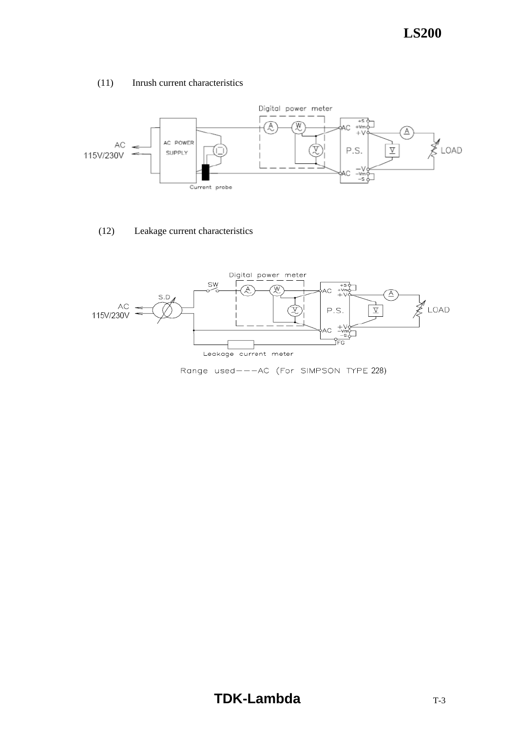### (11) Inrush current characteristics



### (12) Leakage current characteristics

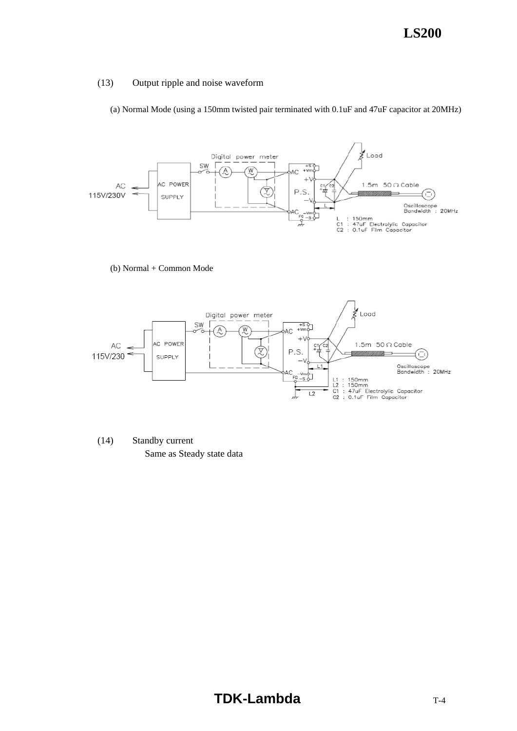### (13) Output ripple and noise waveform

(a) Normal Mode (using a 150mm twisted pair terminated with 0.1uF and 47uF capacitor at 20MHz)



(b) Normal + Common Mode



 (14) Standby current Same as Steady state data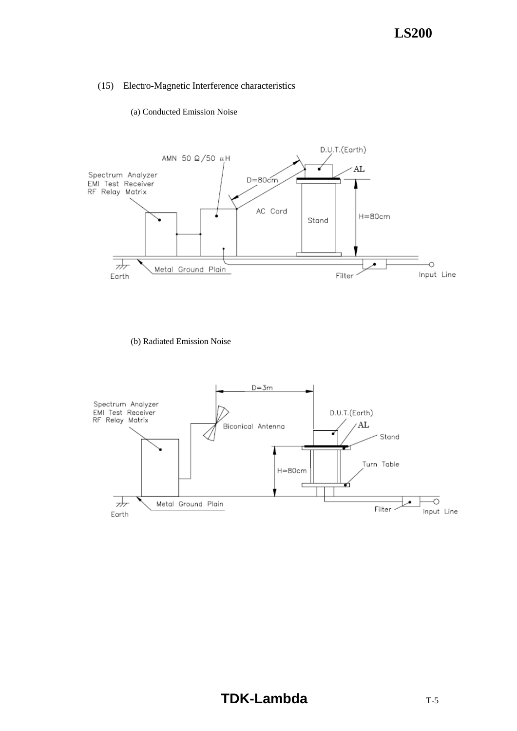#### (a) Conducted Emission Noise



(b) Radiated Emission Noise

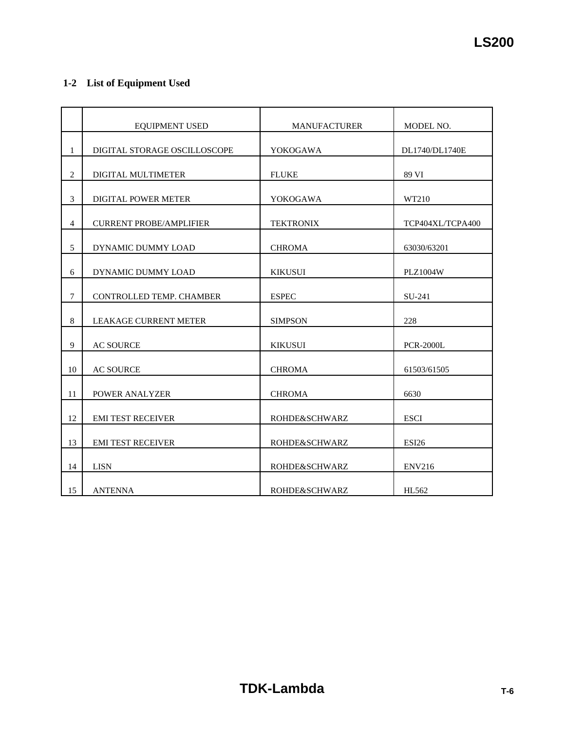### **1-2 List of Equipment Used**

|                | <b>EQUIPMENT USED</b>          | <b>MANUFACTURER</b> | MODEL NO.        |
|----------------|--------------------------------|---------------------|------------------|
| $\mathbf{1}$   | DIGITAL STORAGE OSCILLOSCOPE   | YOKOGAWA            | DL1740/DL1740E   |
| $\overline{2}$ | DIGITAL MULTIMETER             | <b>FLUKE</b>        | 89 VI            |
| 3              | <b>DIGITAL POWER METER</b>     | <b>YOKOGAWA</b>     | WT210            |
| $\overline{4}$ | <b>CURRENT PROBE/AMPLIFIER</b> | <b>TEKTRONIX</b>    | TCP404XL/TCPA400 |
| 5              | DYNAMIC DUMMY LOAD             | <b>CHROMA</b>       | 63030/63201      |
| 6              | DYNAMIC DUMMY LOAD             | <b>KIKUSUI</b>      | <b>PLZ1004W</b>  |
| $\overline{7}$ | CONTROLLED TEMP. CHAMBER       | <b>ESPEC</b>        | SU-241           |
| 8              | <b>LEAKAGE CURRENT METER</b>   | <b>SIMPSON</b>      | 228              |
| 9              | <b>AC SOURCE</b>               | <b>KIKUSUI</b>      | <b>PCR-2000L</b> |
| 10             | <b>AC SOURCE</b>               | <b>CHROMA</b>       | 61503/61505      |
| 11             | POWER ANALYZER                 | <b>CHROMA</b>       | 6630             |
| 12             | <b>EMI TEST RECEIVER</b>       | ROHDE&SCHWARZ       | <b>ESCI</b>      |
| 13             | <b>EMI TEST RECEIVER</b>       | ROHDE&SCHWARZ       | <b>ESI26</b>     |
| 14             | <b>LISN</b>                    | ROHDE&SCHWARZ       | <b>ENV216</b>    |
| 15             | <b>ANTENNA</b>                 | ROHDE&SCHWARZ       | HL562            |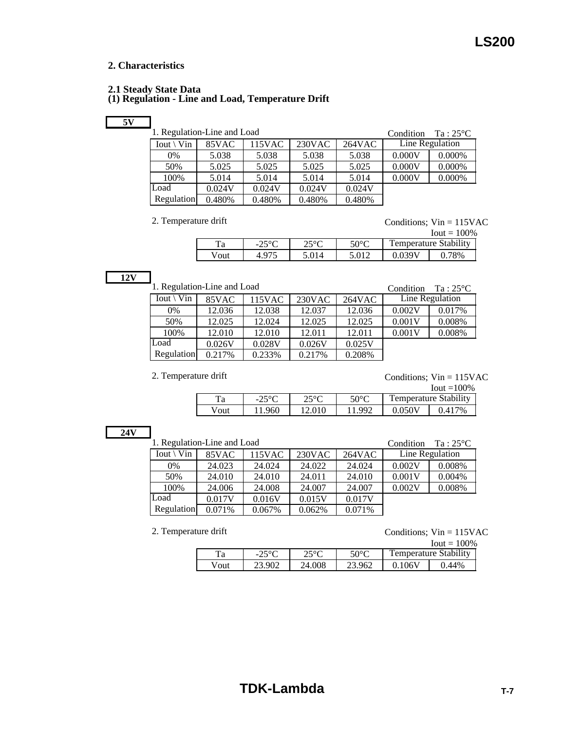#### **2. Characteristics**

#### **2.1 Steady State Data**

### **(1) Regulation - Line and Load, Temperature Drift**

|--|

| Regulation-Line and Loa |  |  |
|-------------------------|--|--|

| 1. Regulation-Line and Load |        |        | Condition           | $Ta:25^{\circ}C$ |        |                 |
|-----------------------------|--------|--------|---------------------|------------------|--------|-----------------|
| $Iout \setminus Vin$        | 85VAC  | 115VAC | 230 <sub>V</sub> AC | 264VAC           |        | Line Regulation |
| 0%                          | 5.038  | 5.038  | 5.038               | 5.038            | 0.000V | 0.000%          |
| 50%                         | 5.025  | 5.025  | 5.025               | 5.025            | 0.000V | 0.000%          |
| 100%                        | 5.014  | 5.014  | 5.014               | 5.014            | 0.000V | 0.000%          |
| Load                        | 0.024V | 0.024V | 0.024V              | 0.024V           |        |                 |
| Regulation                  | 0.480% | 0.480% | 0.480%              | 0.480%           |        |                 |

2. Temperature drift Conditions; Vin = 115VAC

|      |                |       |                |                              | $I$ out = 100% |  |
|------|----------------|-------|----------------|------------------------------|----------------|--|
|      | 250C<br>ر ے –  | 550C  | $50^{\circ}$ C | <b>Temperature Stability</b> |                |  |
| Vout | $4.97^{\circ}$ | 5.014 | 5.012          | J 039 (                      | 78%            |  |

**12V**

| 1. Regulation-Line and Load |        |        |           |        | Condition | $Ta:25^{\circ}C$ |
|-----------------------------|--------|--------|-----------|--------|-----------|------------------|
| $I$ out \ Vin               | 85VAC  | 115VAC | $230$ VAC | 264VAC |           | Line Regulation  |
| 0%                          | 12.036 | 12.038 | 12.037    | 12.036 | 0.002V    | 0.017%           |
| 50%                         | 12.025 | 12.024 | 12.025    | 12.025 | 0.001V    | 0.008%           |
| 100%                        | 12.010 | 12.010 | 12.011    | 12.011 | 0.001V    | 0.008%           |
| Load                        | 0.026V | 0.028V | 0.026V    | 0.025V |           |                  |
| Regulation                  | 0.217% | 0.233% | 0.217%    | 0.208% |           |                  |
|                             |        |        |           |        |           |                  |

2. Temperature drift Conditions; Vin = 115VAC

|      |                         |        |      |                       | $I$ out $=100\%$ |  |
|------|-------------------------|--------|------|-----------------------|------------------|--|
| Ta   | $25^{\circ}C$<br>ے کے ب | າ<∘∩   | 50°C | Temperature Stability |                  |  |
| Vout | 11.960                  | 12.010 | 1992 | 0.050V                | 9.417%           |  |

|--|--|

| 1. Regulation-Line and Load |        |        | Condition | $Ta:25^{\circ}C$ |        |                 |
|-----------------------------|--------|--------|-----------|------------------|--------|-----------------|
| $Iout \setminus Vin$        | 85VAC  | 115VAC | $230$ VAC | 264VAC           |        | Line Regulation |
| $0\%$                       | 24.023 | 24.024 | 24.022    | 24.024           | 0.002V | 0.008%          |
| 50%                         | 24.010 | 24.010 | 24.011    | 24.010           | 0.001V | 0.004%          |
| 100%                        | 24.006 | 24.008 | 24.007    | 24.007           | 0.002V | 0.008%          |
| Load                        | 0.017V | 0.016V | 0.015V    | 0.017V           |        |                 |
| <b>Regulation</b>           | 0.071% | 0.067% | 0.062%    | 0.071%           |        |                 |

2. Temperature drift  $\qquad \qquad \text{Conditions; Vin} = 115 \text{VAC}$ 

|      |              |        |        |                       | $I$ out = 100% |  |
|------|--------------|--------|--------|-----------------------|----------------|--|
| Ta   | 250C<br>$-L$ | 250C   | 50°C   | Temperature Stability |                |  |
| Vout | 23.902       | 24.008 | 23.962 | 0.106V                | $.44\%$        |  |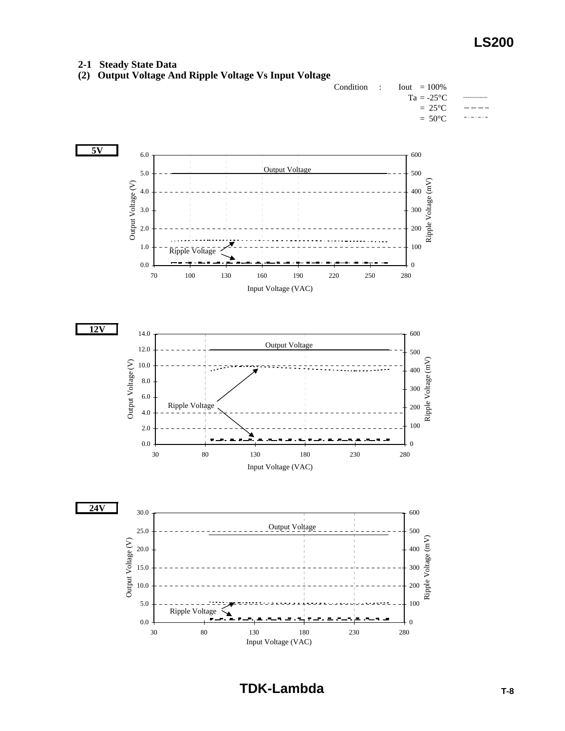#### **2-1 Steady State Data**

**(2) Output Voltage And Ripple Voltage Vs Input Voltage**

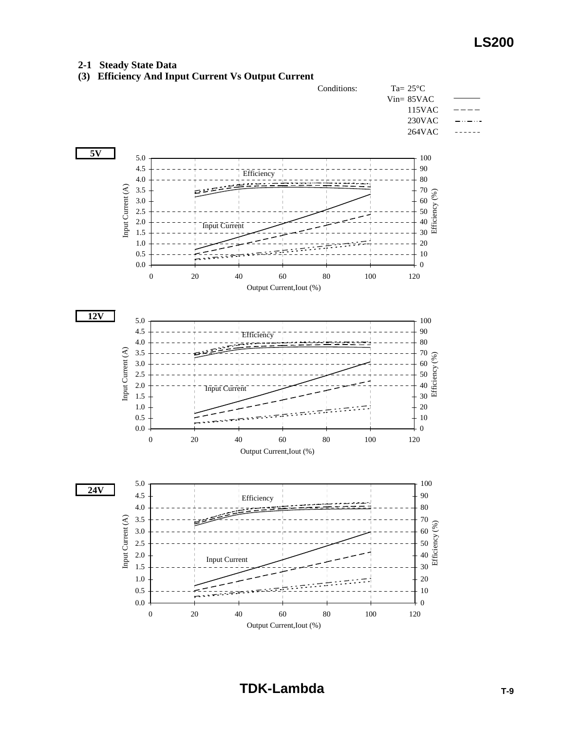#### **2-1 Steady State Data**

**(3) Efficiency And Input Current Vs Output Current**

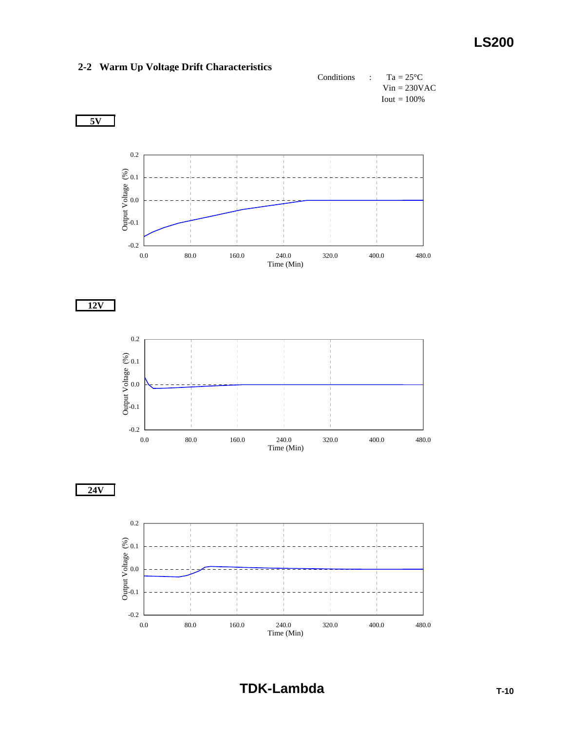

### **2-2 Warm Up Voltage Drift Characteristics**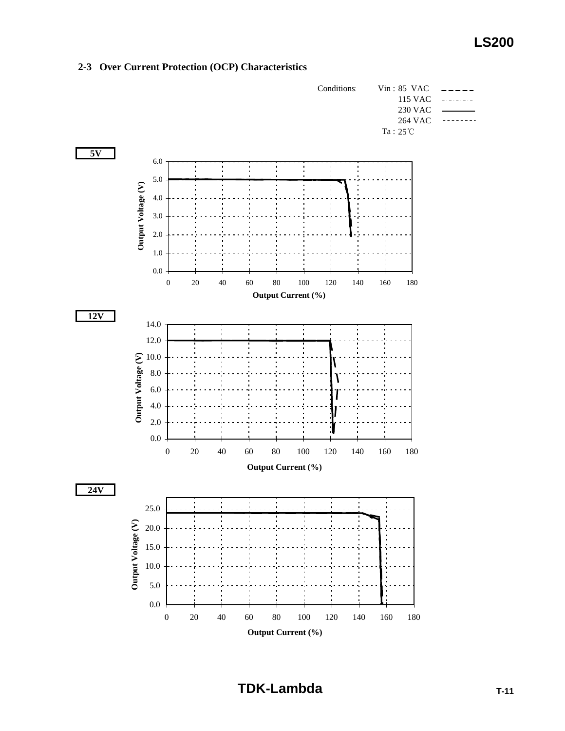

#### **2-3 Over Current Protection (OCP) Characteristics**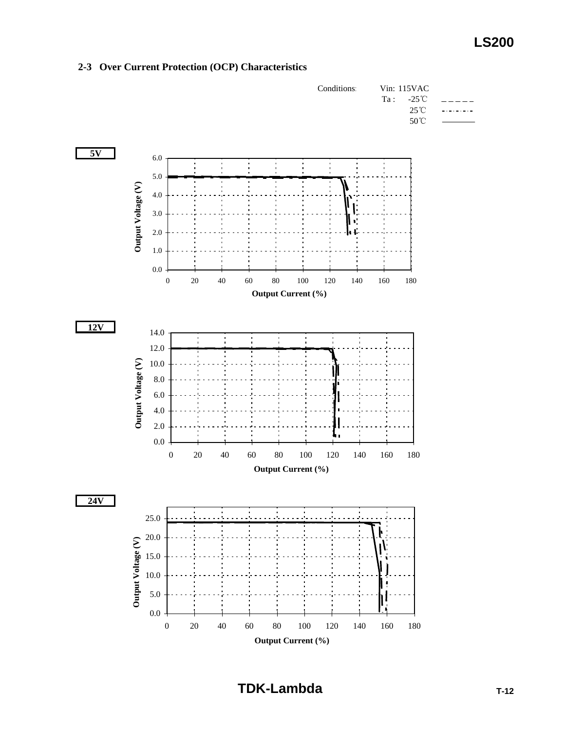

#### **2-3 Over Current Protection (OCP) Characteristics**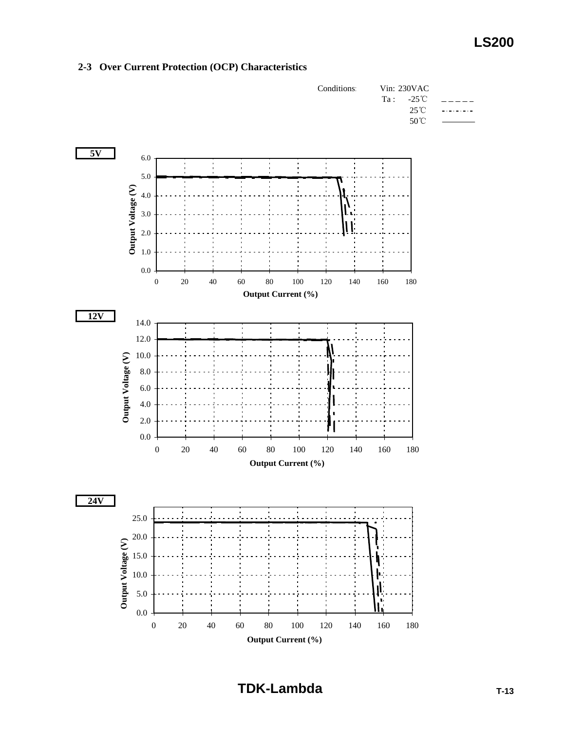

#### **2-3 Over Current Protection (OCP) Characteristics**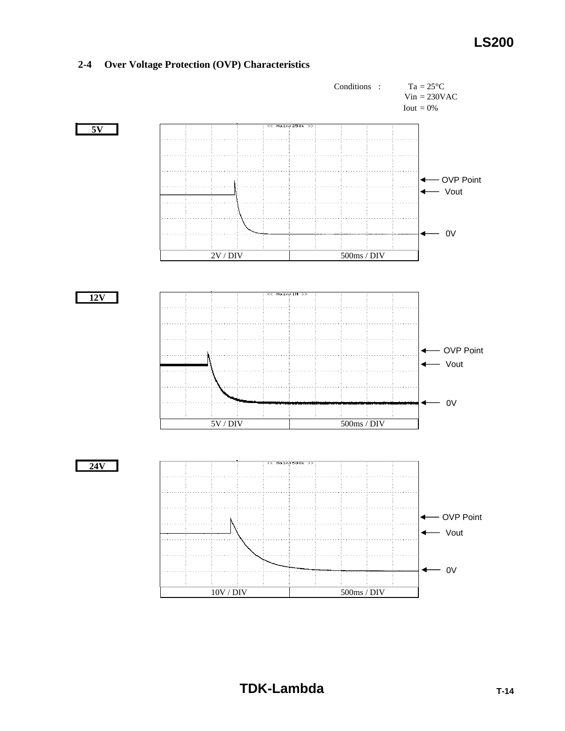

### **2-4 Over Voltage Protection (OVP) Characteristics**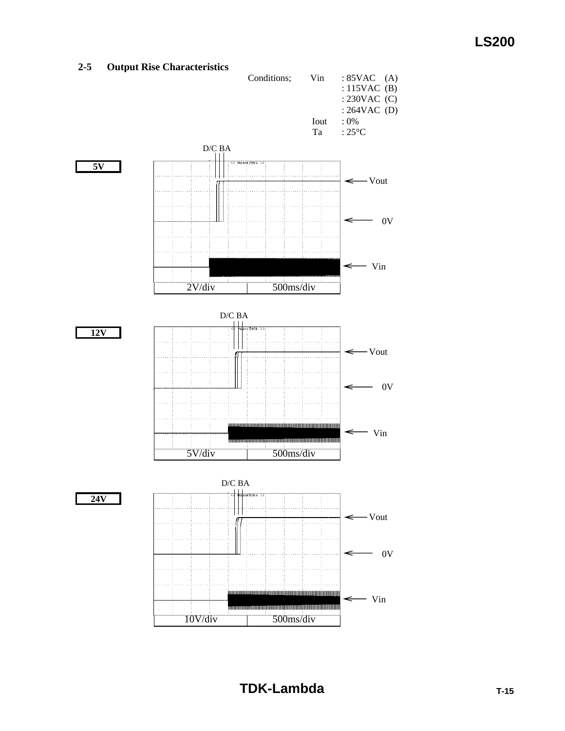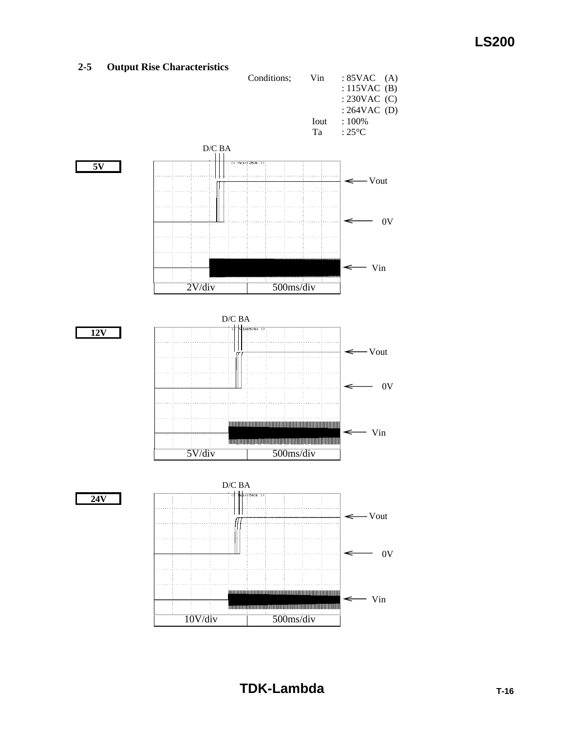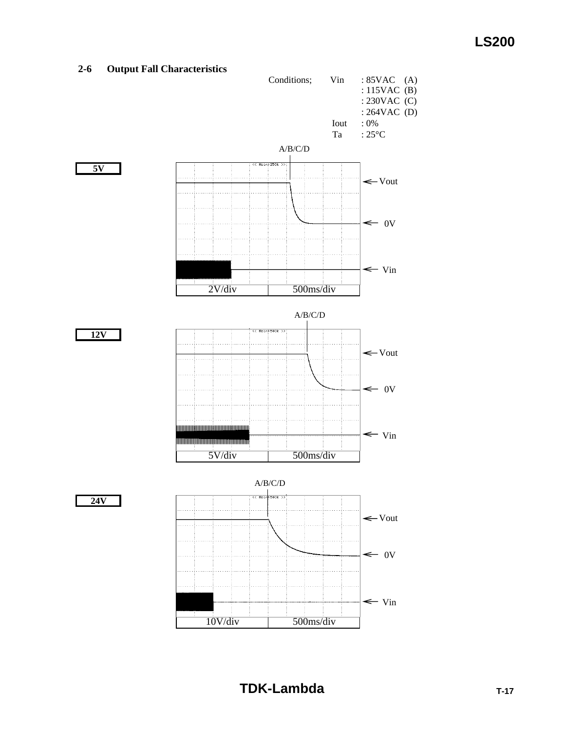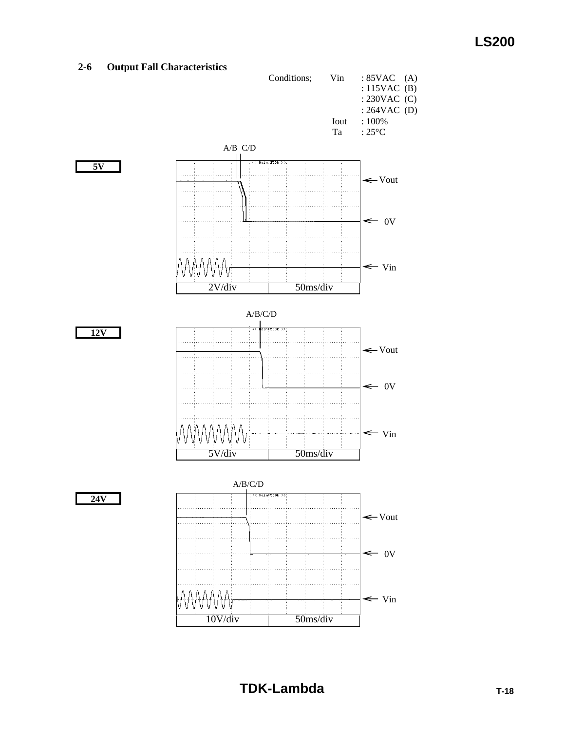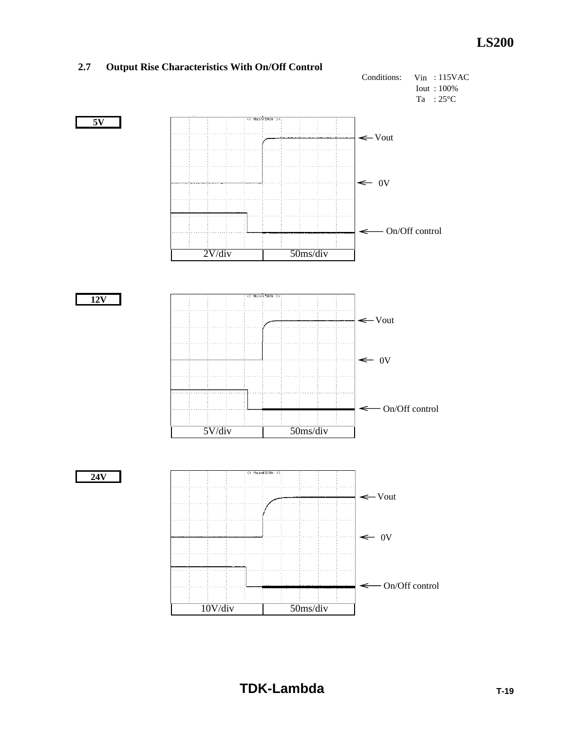

#### **2.7 Output Rise Characteristics With On/Off Control**

**TDK-Lambda TDK-Lambda**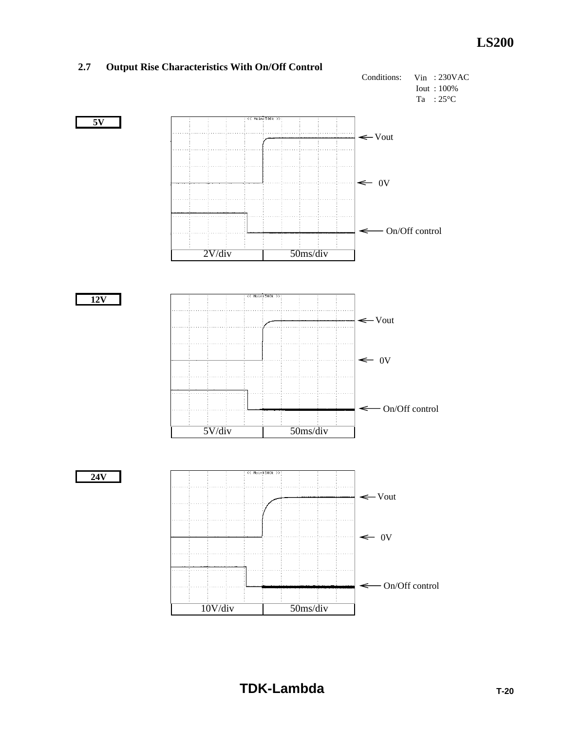

#### **2.7 Output Rise Characteristics With On/Off Control**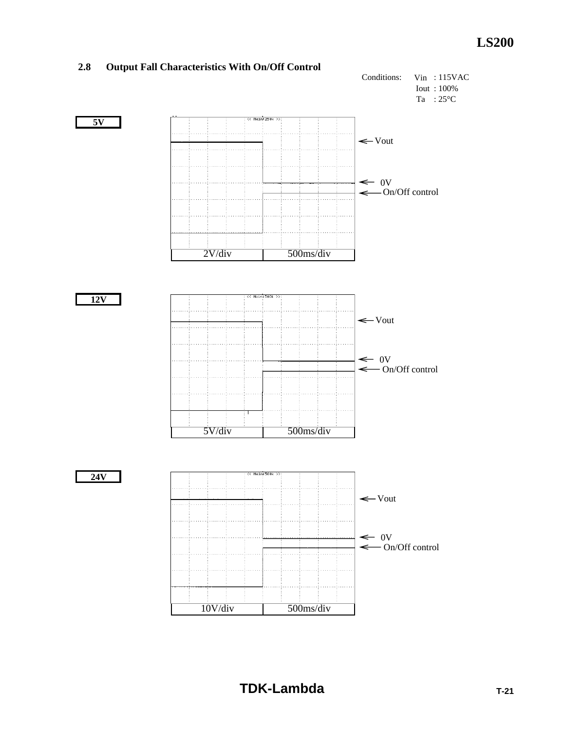![](_page_22_Figure_1.jpeg)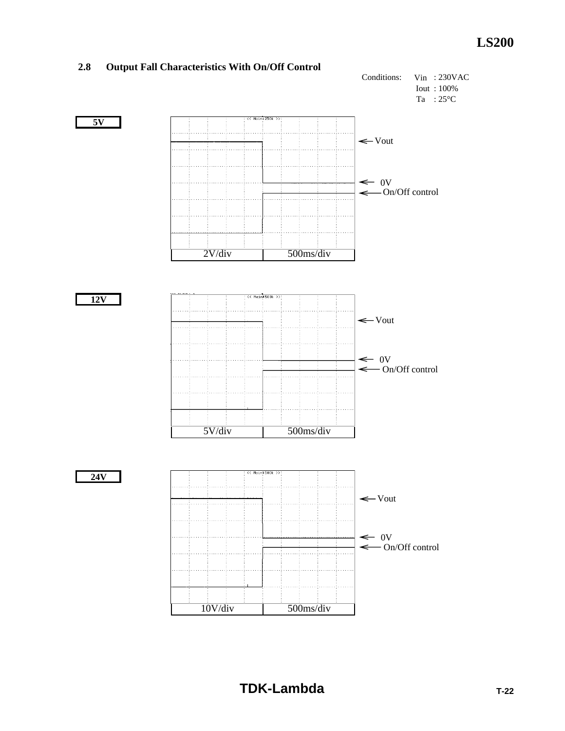![](_page_23_Figure_1.jpeg)

#### **2.8 Output Fall Characteristics With On/Off Control**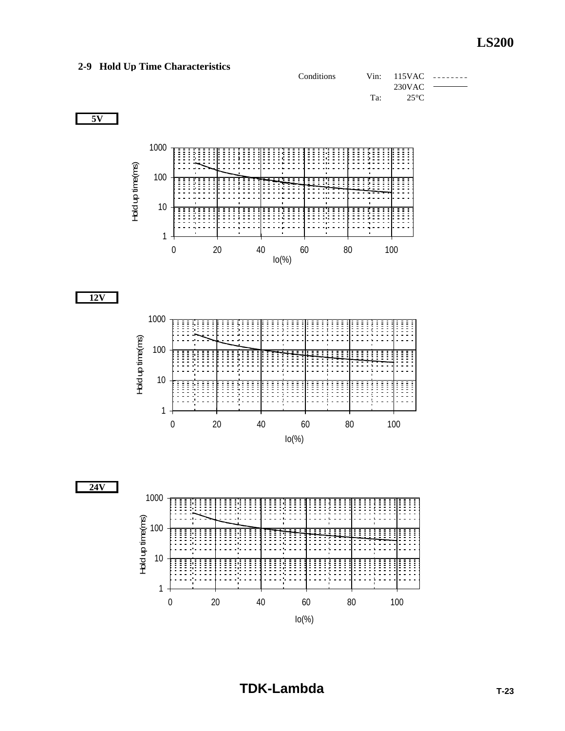### **2-9 Hold Up Time Characteristics**

![](_page_24_Figure_2.jpeg)

![](_page_24_Figure_3.jpeg)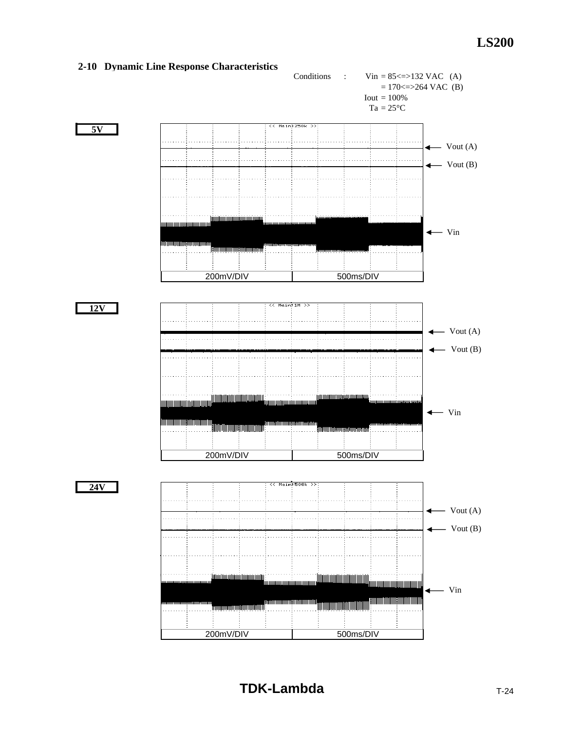![](_page_25_Figure_1.jpeg)

#### **2-10 Dynamic Line Response Characteristics**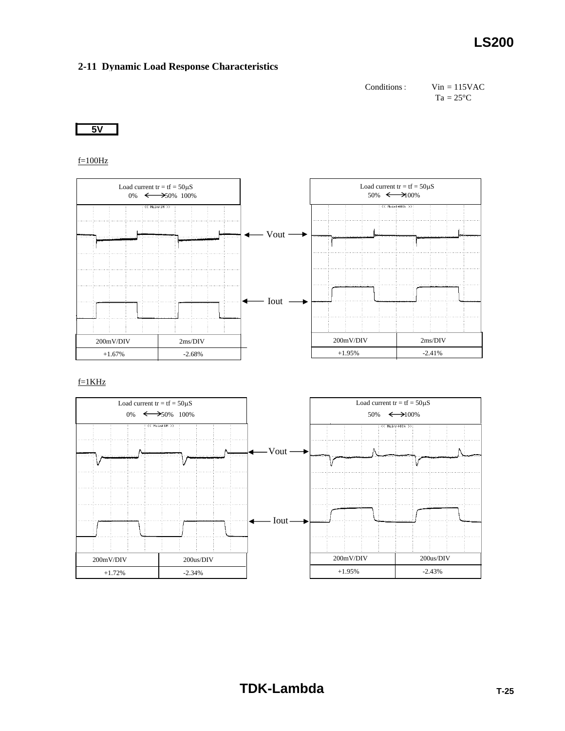#### **2-11 Dynamic Load Response Characteristics**

Conditions: Vin = 115VAC  $Ta = 25^{\circ}C$ 

**5V**

 $f=100Hz$ 

![](_page_26_Figure_5.jpeg)

![](_page_26_Figure_7.jpeg)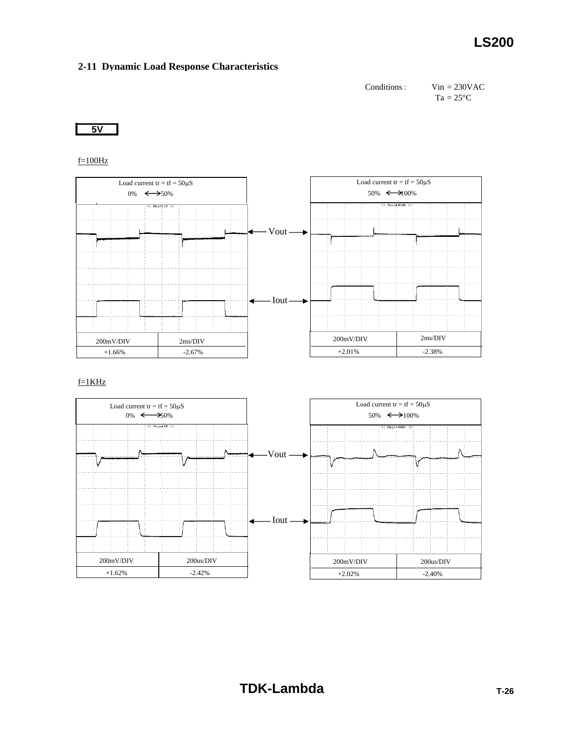#### **2-11 Dynamic Load Response Characteristics**

Conditions: Vin = 230VAC  $Ta = 25^{\circ}C$ 

**5V**

 $f=100Hz$ 

![](_page_27_Figure_5.jpeg)

![](_page_27_Figure_7.jpeg)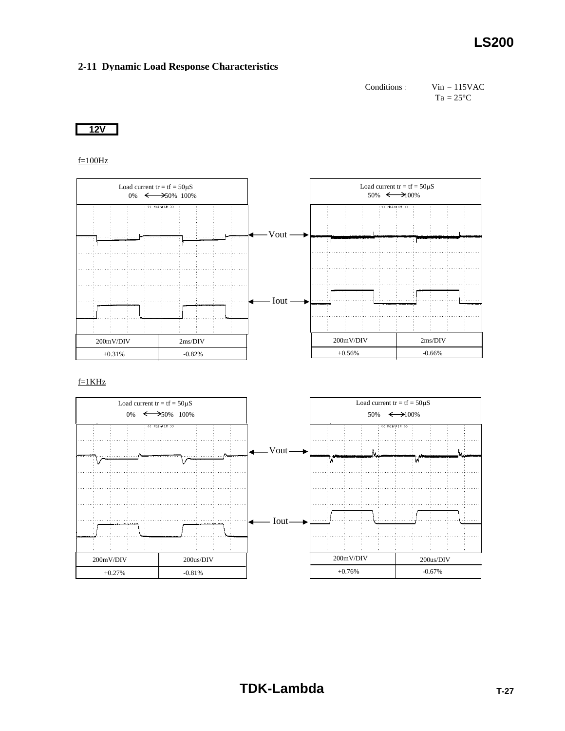#### **2-11 Dynamic Load Response Characteristics**

Conditions: Vin = 115VAC  $Ta = 25^{\circ}C$ 

**12V**

 $f=100Hz$ 

![](_page_28_Figure_5.jpeg)

![](_page_28_Figure_7.jpeg)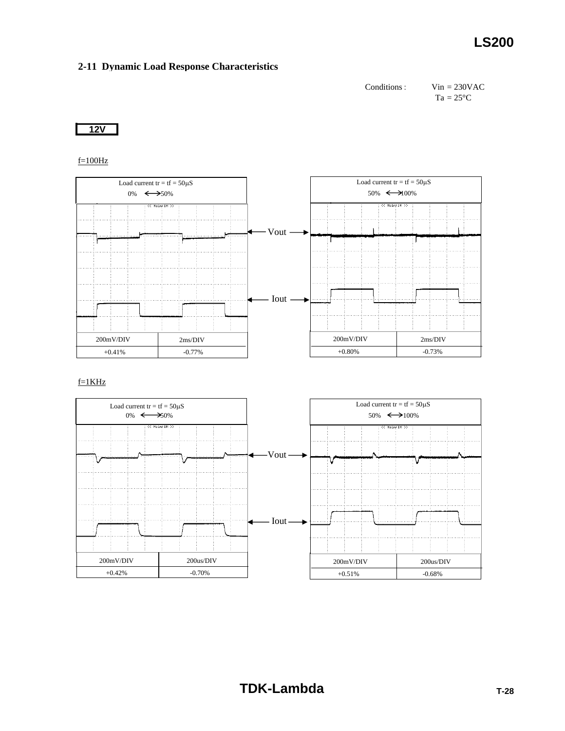#### **2-11 Dynamic Load Response Characteristics**

Conditions: Vin = 230VAC  $Ta = 25^{\circ}C$ 

**12V**

 $f=100Hz$ 

![](_page_29_Figure_5.jpeg)

![](_page_29_Figure_7.jpeg)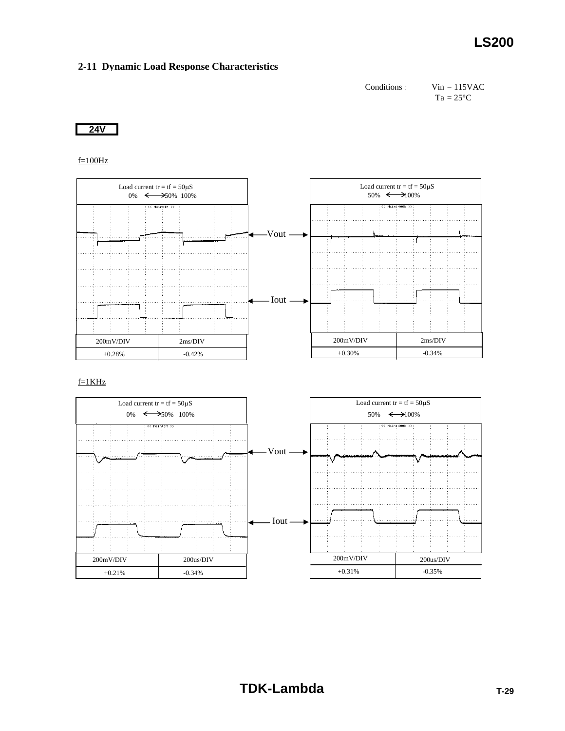#### **2-11 Dynamic Load Response Characteristics**

Conditions: Vin = 115VAC  $Ta = 25^{\circ}C$ 

**24V**

 $f=100Hz$ 

![](_page_30_Figure_5.jpeg)

![](_page_30_Figure_7.jpeg)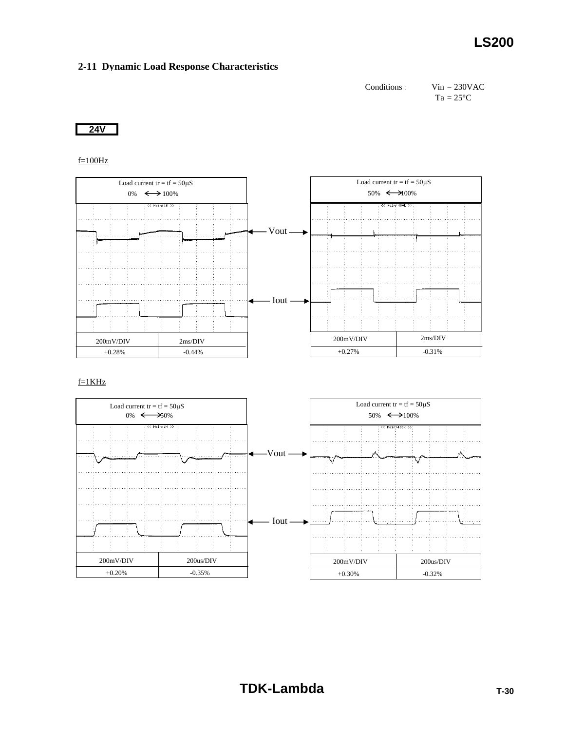#### **2-11 Dynamic Load Response Characteristics**

Conditions: Vin = 230VAC  $Ta = 25^{\circ}C$ 

**24V**

 $f=100Hz$ 

![](_page_31_Figure_5.jpeg)

![](_page_31_Figure_7.jpeg)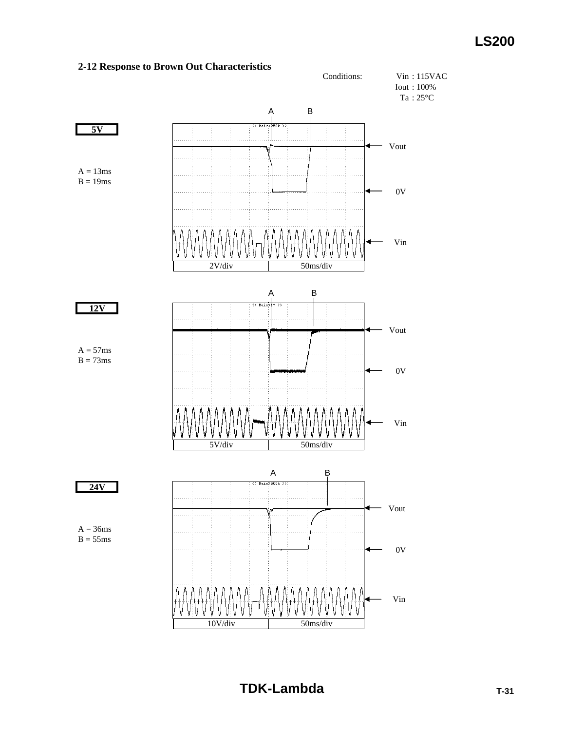![](_page_32_Figure_1.jpeg)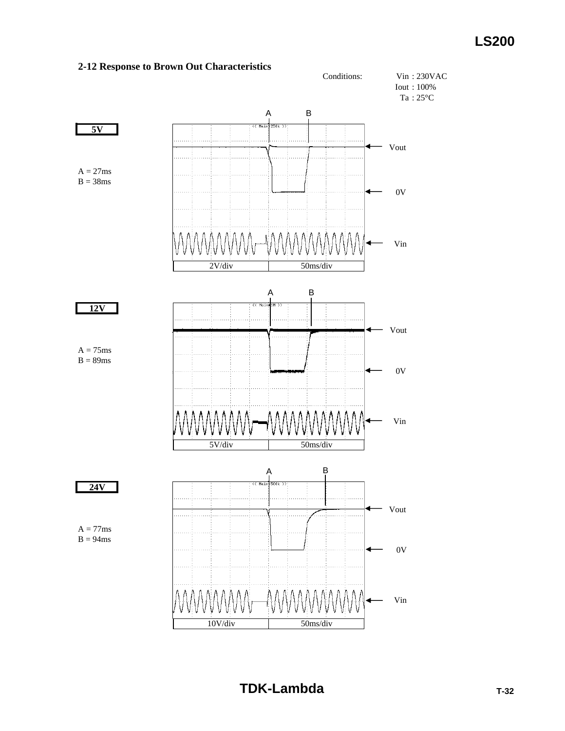![](_page_33_Figure_1.jpeg)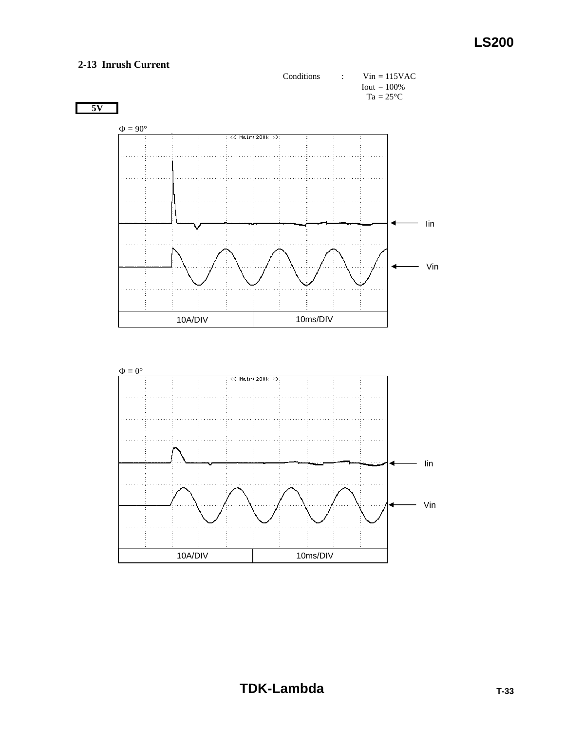### **2-13 Inrush Current**

![](_page_34_Figure_2.jpeg)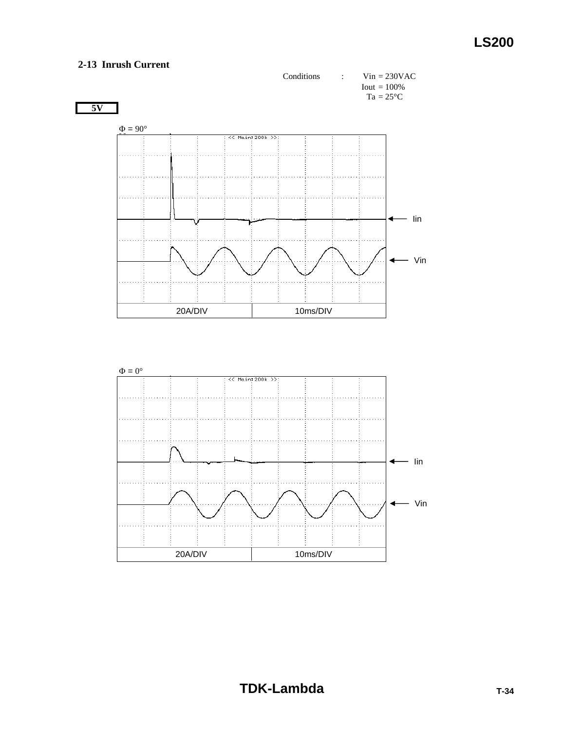### **2-13 Inrush Current**

![](_page_35_Figure_2.jpeg)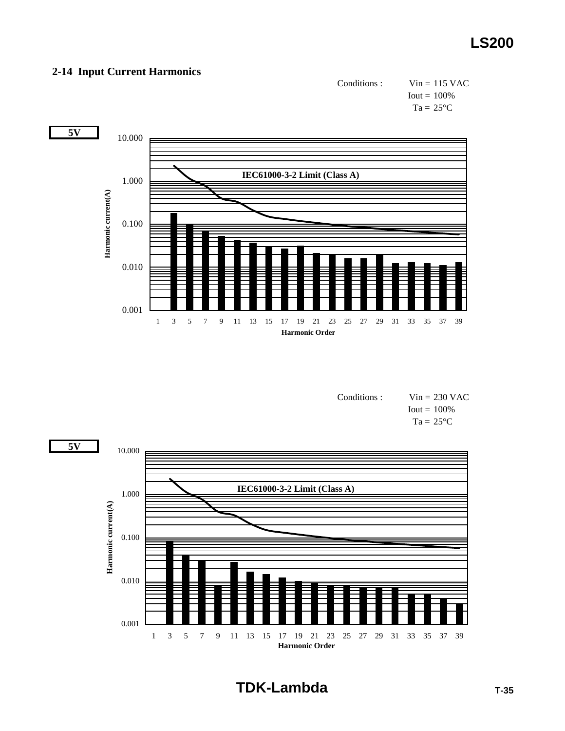### **2-14 Input Current Harmonics**

![](_page_36_Figure_2.jpeg)

![](_page_36_Figure_3.jpeg)

| Conditions : | $Vin = 230$ VAC          |
|--------------|--------------------------|
|              | $I_{\text{out}} = 100\%$ |
|              | $Ta = 25^{\circ}C$       |

![](_page_36_Figure_5.jpeg)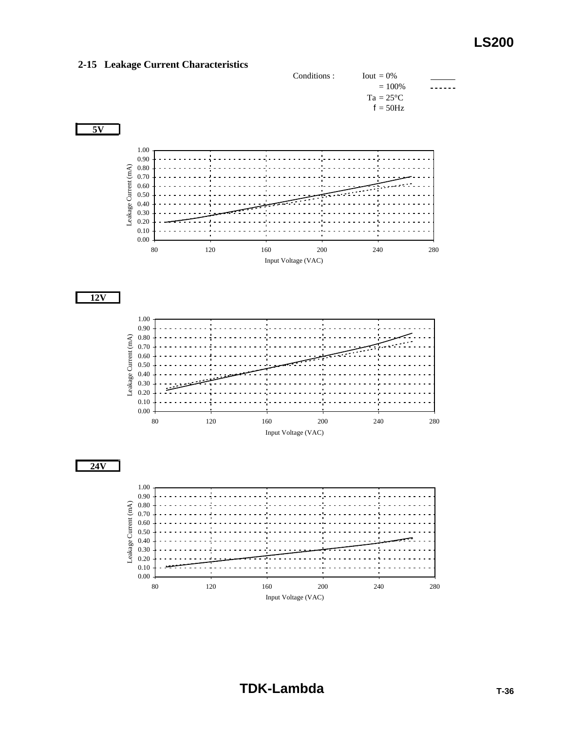![](_page_37_Figure_1.jpeg)

#### **2-15 Leakage Current Characteristics**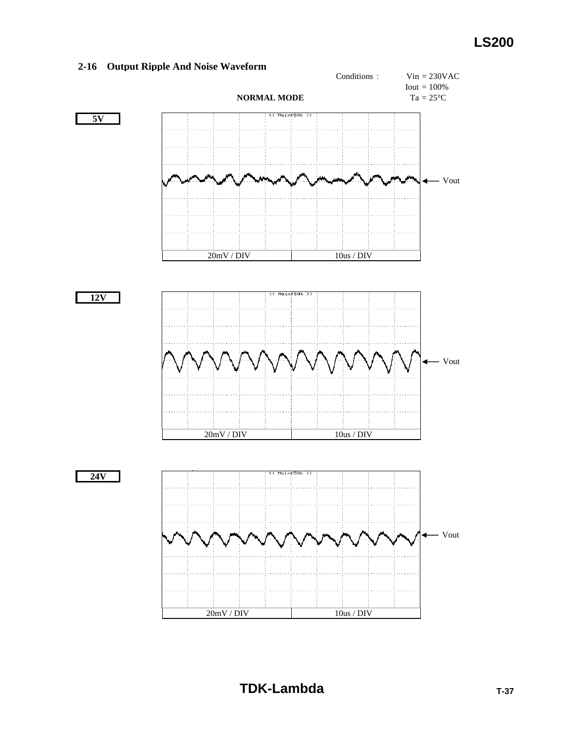#### **2-16 Output Ripple And Noise Waveform**

![](_page_38_Figure_2.jpeg)

**TDK-Lambda TDK-Lambda**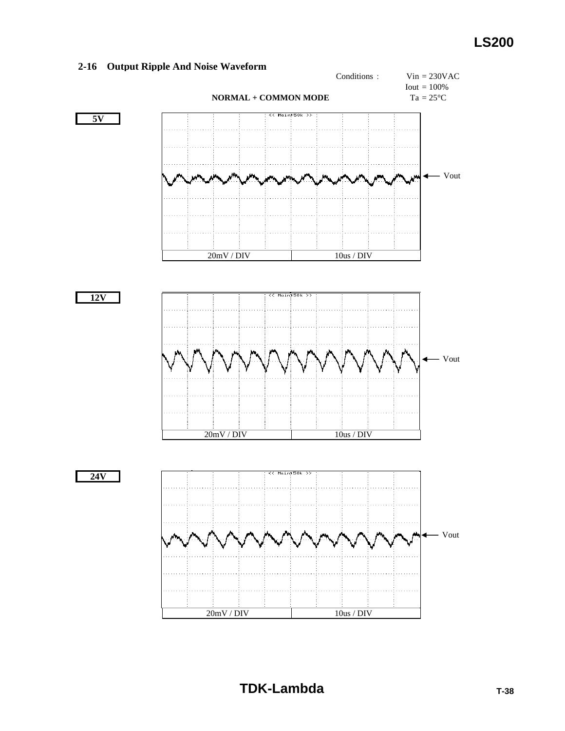#### **2-16 Output Ripple And Noise Waveform**

![](_page_39_Figure_2.jpeg)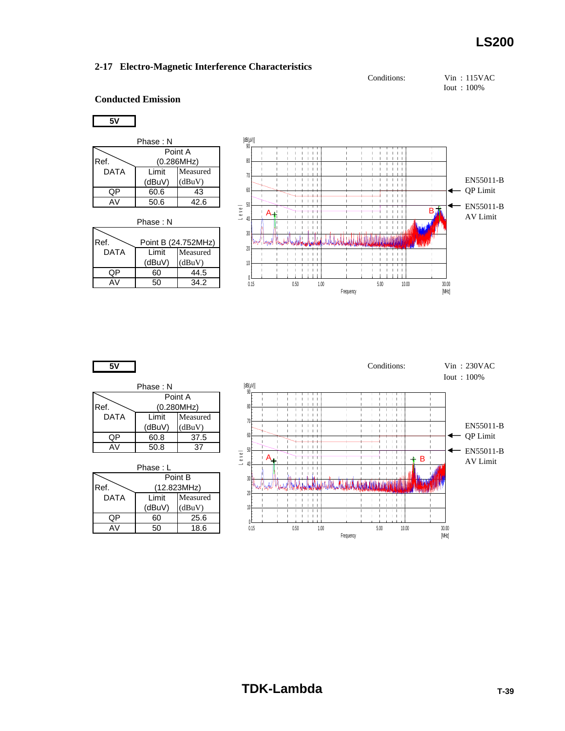![](_page_40_Figure_2.jpeg)

Iout : 100%

#### **Conducted Emission**

#### **5V**

| Phase : N |            |          |
|-----------|------------|----------|
| Point A   |            |          |
| Ref.      | (0.286MHz) |          |
| DATA      | I imit     | Measured |
|           | (dBuV)     | (dBuV)   |
| ОP        | 60.6       | 43       |
| A٧        | 50.6       | 42.6     |

| Phase: N                    |                  |                    |
|-----------------------------|------------------|--------------------|
| Ref.<br>Point B (24.752MHz) |                  |                    |
| <b>DATA</b>                 | I imit<br>(dBuV) | Measured<br>(dBuV) |
| ∩P                          | 60               | 44.5               |
|                             | 50               | 34.2               |

![](_page_40_Figure_8.jpeg)

 $\overline{\mathcal{K}}$ 

| Phase : N |            |          |
|-----------|------------|----------|
| Point A   |            |          |
| Ref.      | (0.280MHz) |          |
| DATA      | Limit      | Measured |
|           | (dBuV)     | (dBuV)   |
| ΩP        | 60.8       | 37.5     |
| ΔV        | 50.8       |          |

Phase : L Point B

| IRef. | (12.823MHz) |          |
|-------|-------------|----------|
| DATA  | I imit      | Measured |
|       | (dBuV)      | (dBuV)   |
| ∩P    | 60          | 25.6     |
|       | 50          | 18.6     |

![](_page_40_Figure_13.jpeg)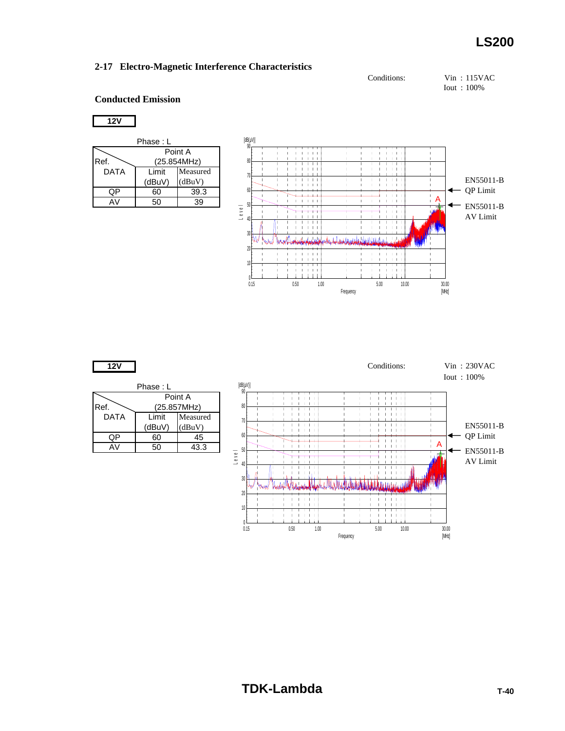Conditions: Vin : 115VAC

Iout : 100%

### **Conducted Emission**

### **12V**

| Phase : L   |             |          |
|-------------|-------------|----------|
| Point A     |             |          |
| Ref.        | (25.854MHz) |          |
| <b>DATA</b> | Limit       | Measured |
|             | (dBuV)      | (dBuV)   |
| QP          | 60          | 39.3     |
| AV.         | 50          | 39       |

![](_page_41_Figure_7.jpeg)

![](_page_41_Figure_8.jpeg)

Ref. DATA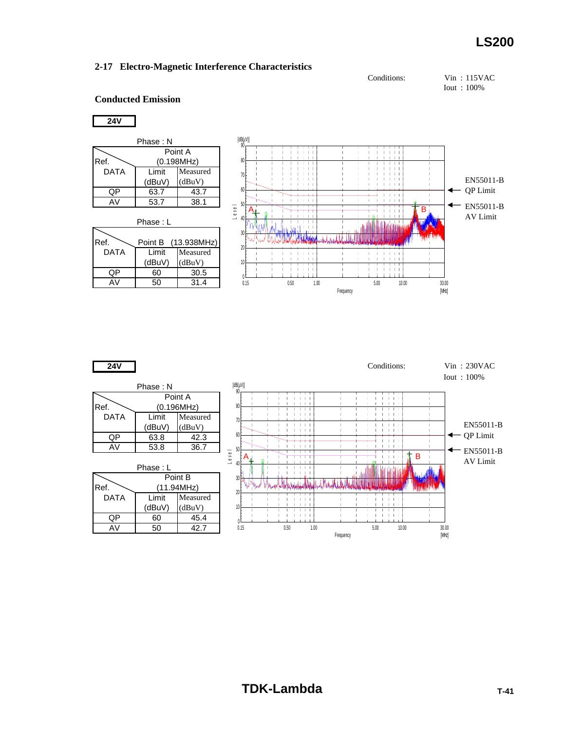![](_page_42_Figure_2.jpeg)

Iout : 100%

### **Conducted Emission**

### **24V**

| Phase: N |             |          |  |
|----------|-------------|----------|--|
|          | Point A     |          |  |
| Ref.     | (0.198 MHz) |          |  |
| DATA     | I imit      | Measured |  |
|          | (dBuV)      | (dBuV)   |  |
| OР       | 63.7        | 43.7     |  |
| AV       | 53.7        | 38.1     |  |
|          |             |          |  |

| Phase : L   |        |                     |
|-------------|--------|---------------------|
|             |        |                     |
| Ref.        |        | Point B (13.938MHz) |
| <b>DATA</b> | I imit | Measured            |
|             | (dBuV) | (dBuV)              |
| (JP         | 60     | 30.5                |
| A٧          | 50     | 31.4                |

![](_page_42_Figure_8.jpeg)

![](_page_42_Figure_9.jpeg)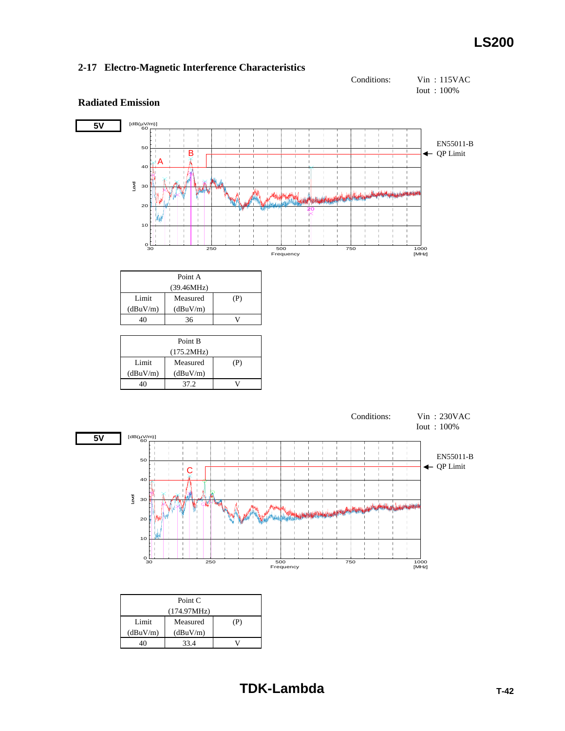$(dBuV/m)$   $(dBuV/m)$ 

40 33.4 V

![](_page_43_Figure_2.jpeg)

![](_page_43_Figure_3.jpeg)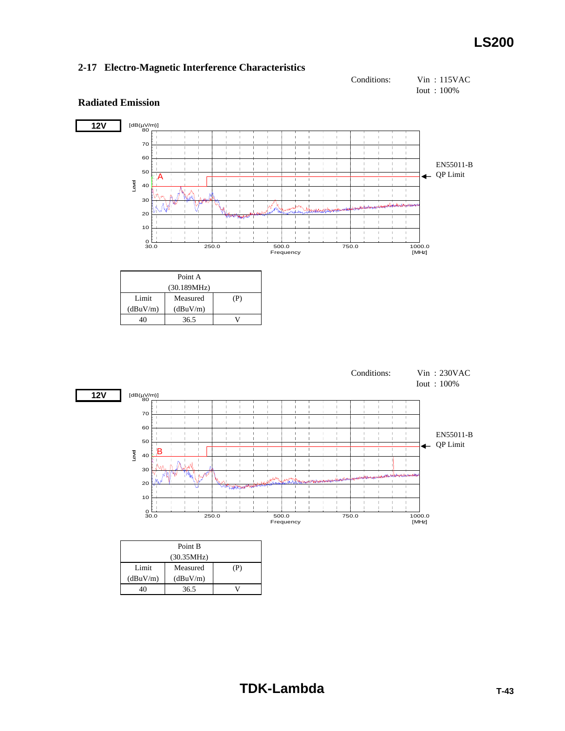**Radiated Emission**

![](_page_44_Figure_2.jpeg)

#### **12V** [dB(µV/m)]<br>--- 80 70 60 EN55011-B 50  $\leftarrow$  QP Limit A Level 40  $\frac{1}{1}$ 30 j.  $\mathbf{L}$ аJ, 20 10  $0^{11}_{30.0}$  $\frac{1000.0}{[MHz]}$ 30.0 250.0 500.0 750.0 1000.0 Frequency Point A (30.189MHz) Limit Measured (P)  $(dBuV/m)$   $(dBuV/m)$ 40 36.5 V Conditions: Vin : 230VAC Iout : 100% **12V** [dB(µV/m)]<br>--- 80 70  $\frac{1}{1}$  $\mathbf{I}$  $\frac{1}{1}$ 60  $\frac{1}{2}$ EN55011-B  $\bar{1}$  $\frac{1}{2}$ 50  $\leftarrow$  QP Limit  $\overline{1}$ B Level 40  $\frac{1}{1}$  $\frac{1}{1}$ 30  $\bar{1}$  $\mathbf I$ 20 10  $\mathbf{I}$  $_{\frac{0}{30.0}}^{0}$  $\frac{1000.0}{[MHz]}$ 30.0 250.0 500.0 750.0 1000.0 Frequency Point B (30.35MHz) Limit Measured (P)  $(dBuV/m)$   $(dBuV/m)$ 40 36.5 V